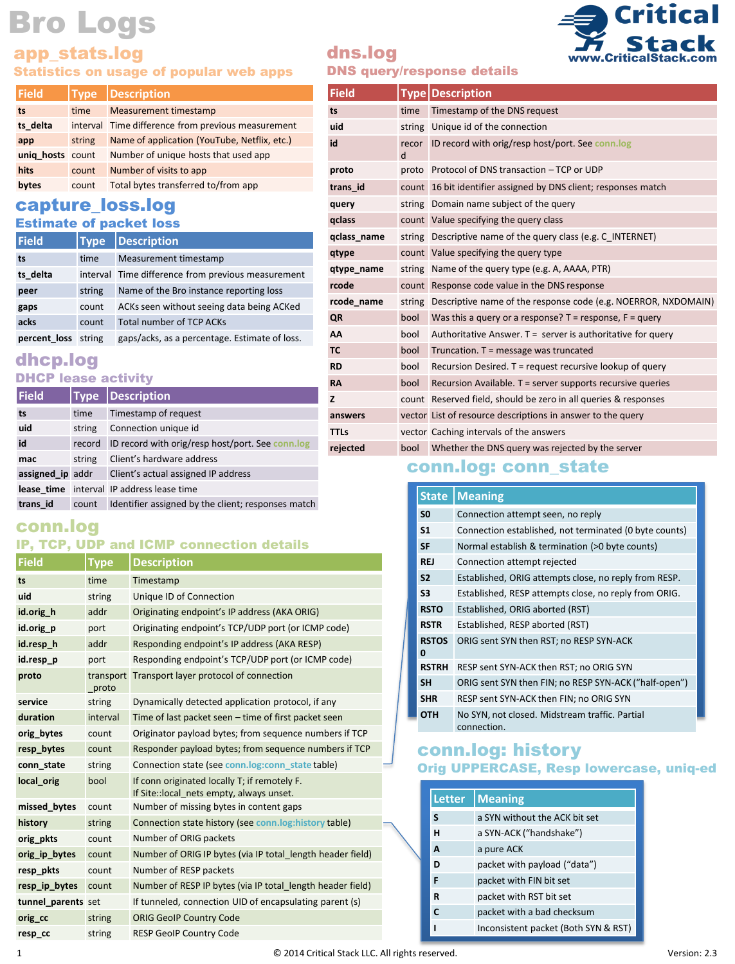## app\_stats.log

#### Statistics on usage of popular web apps

| <b>Type</b>      |                                                    |  |
|------------------|----------------------------------------------------|--|
| time             | <b>Measurement timestamp</b>                       |  |
|                  | interval Time difference from previous measurement |  |
| string           | Name of application (YouTube, Netflix, etc.)       |  |
| unig hosts count | Number of unique hosts that used app               |  |
| count            | Number of visits to app                            |  |
| count            | Total bytes transferred to/from app                |  |
|                  | <b>Description</b>                                 |  |

#### capture\_loss.log Estimate of packet loss

#### **Field Type Description**

| гнею         | l i vpel | <b>Description</b>                                 |
|--------------|----------|----------------------------------------------------|
| ts           | time     | Measurement timestamp                              |
| ts delta     |          | interval Time difference from previous measurement |
| peer         | string   | Name of the Bro instance reporting loss            |
| gaps         | count    | ACKs seen without seeing data being ACKed          |
| acks         | count    | <b>Total number of TCP ACKs</b>                    |
| percent loss | string   | gaps/acks, as a percentage. Estimate of loss.      |

#### dhcp.log DHCP lease activity

| <b>Field</b>     | <b>Type</b> | Description                                        |
|------------------|-------------|----------------------------------------------------|
| ts               | time        | Timestamp of request                               |
| uid              | string      | Connection unique id                               |
| id               | record      | ID record with orig/resp host/port. See conn.log   |
| mac              | string      | Client's hardware address                          |
| assigned ip addr |             | Client's actual assigned IP address                |
|                  |             | lease time interval IP address lease time          |
| trans id         | count       | Identifier assigned by the client; responses match |

## conn.log

#### IP, TCP, UDP and ICMP connection details

| <b>Field</b>       | Type               | <b>Description</b>                                                                        |  |
|--------------------|--------------------|-------------------------------------------------------------------------------------------|--|
| ts                 | time               | Timestamp                                                                                 |  |
| uid                | string             | Unique ID of Connection                                                                   |  |
| id.orig h          | addr               | Originating endpoint's IP address (AKA ORIG)                                              |  |
| id.orig p          | port               | Originating endpoint's TCP/UDP port (or ICMP code)                                        |  |
| id.resp h          | addr               | Responding endpoint's IP address (AKA RESP)                                               |  |
| id.resp p          | port               | Responding endpoint's TCP/UDP port (or ICMP code)                                         |  |
| proto              | transport<br>proto | Transport layer protocol of connection                                                    |  |
| service            | string             | Dynamically detected application protocol, if any                                         |  |
| duration           | interval           | Time of last packet seen - time of first packet seen                                      |  |
| orig bytes         | count              | Originator payload bytes; from sequence numbers if TCP                                    |  |
| resp bytes         | count              | Responder payload bytes; from sequence numbers if TCP                                     |  |
| conn state         | string             | Connection state (see conn.log:conn state table)                                          |  |
| local orig         | bool               | If conn originated locally T; if remotely F.<br>If Site:: local nets empty, always unset. |  |
| missed bytes       | count              | Number of missing bytes in content gaps                                                   |  |
| history            | string             | Connection state history (see conn.log:history table)                                     |  |
| orig pkts          | count              | Number of ORIG packets                                                                    |  |
| orig ip bytes      | count              | Number of ORIG IP bytes (via IP total length header field)                                |  |
| resp pkts          | count              | Number of RESP packets                                                                    |  |
| resp_ip_bytes      | count              | Number of RESP IP bytes (via IP total length header field)                                |  |
| tunnel parents set |                    | If tunneled, connection UID of encapsulating parent (s)                                   |  |
| orig cc            | string             | <b>ORIG GeoIP Country Code</b>                                                            |  |
| resp cc            | string             | <b>RESP GeoIP Country Code</b>                                                            |  |

# dns.log

#### DNS query/response details

| Field       |            | Type   Description                                                    |
|-------------|------------|-----------------------------------------------------------------------|
| ts          | time       | Timestamp of the DNS request                                          |
| uid         |            | string Unique id of the connection                                    |
| id          | recor<br>d | ID record with orig/resp host/port. See conn.log                      |
| proto       |            | proto Protocol of DNS transaction - TCP or UDP                        |
| trans id    |            | count 16 bit identifier assigned by DNS client; responses match       |
| query       |            | string Domain name subject of the query                               |
| qclass      |            | count Value specifying the query class                                |
| qclass name |            | string Descriptive name of the query class (e.g. C INTERNET)          |
| qtype       |            | count Value specifying the query type                                 |
| qtype name  |            | string Name of the query type (e.g. A, AAAA, PTR)                     |
| rcode       |            | count Response code value in the DNS response                         |
| rcode name  |            | string Descriptive name of the response code (e.g. NOERROR, NXDOMAIN) |
| QR          | bool       | Was this a query or a response? $T =$ response, $F =$ query           |
| AA          | bool       | Authoritative Answer. $T =$ server is authoritative for query         |
| <b>TC</b>   | bool       | Truncation. $T =$ message was truncated                               |
| <b>RD</b>   | bool       | Recursion Desired. T = request recursive lookup of query              |
| <b>RA</b>   | bool       | Recursion Available. T = server supports recursive queries            |
| z           |            | count Reserved field, should be zero in all queries & responses       |
| answers     |            | vector List of resource descriptions in answer to the query           |

### conn.log: conn\_state

**rejected** bool Whether the DNS query was rejected by the server

**TTLs** vector Caching intervals of the answers

| <b>State</b>      | <b>Meaning</b>                                                |
|-------------------|---------------------------------------------------------------|
| S <sub>0</sub>    | Connection attempt seen, no reply                             |
| <b>S1</b>         | Connection established, not terminated (0 byte counts)        |
| <b>SF</b>         | Normal establish & termination (>0 byte counts)               |
| <b>REJ</b>        | Connection attempt rejected                                   |
| S <sub>2</sub>    | Established, ORIG attempts close, no reply from RESP.         |
| S3                | Established, RESP attempts close, no reply from ORIG.         |
| <b>RSTO</b>       | Established, ORIG aborted (RST)                               |
| <b>RSTR</b>       | Established, RESP aborted (RST)                               |
| <b>RSTOS</b><br>0 | ORIG sent SYN then RST; no RESP SYN-ACK                       |
| <b>RSTRH</b>      | RESP sent SYN-ACK then RST; no ORIG SYN                       |
| <b>SH</b>         | ORIG sent SYN then FIN; no RESP SYN-ACK ("half-open")         |
| <b>SHR</b>        | RESP sent SYN-ACK then FIN; no ORIG SYN                       |
| ОТН               | No SYN, not closed. Midstream traffic. Partial<br>connection. |

#### conn.log: history Orig UPPERCASE, Resp lowercase, uniq-ed

| <b>Letter</b> | <b>Meaning</b>                       |
|---------------|--------------------------------------|
| S             | a SYN without the ACK bit set        |
| н             | a SYN-ACK ("handshake")              |
| A             | a pure ACK                           |
| D             | packet with payload ("data")         |
| F             | packet with FIN bit set              |
| R             | packet with RST bit set              |
| C             | packet with a bad checksum           |
| ı             | Inconsistent packet (Both SYN & RST) |



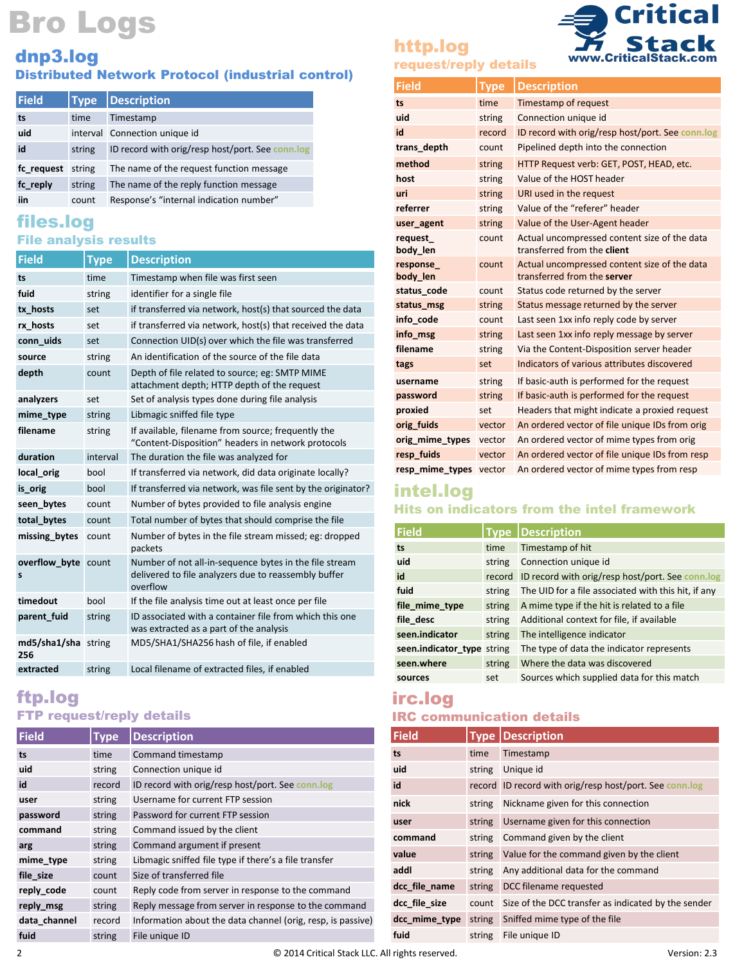# dnp3.log

#### Distributed Network Protocol (industrial control)

| <b>Field</b> | <b>Type</b> | <b>Description</b>                               |
|--------------|-------------|--------------------------------------------------|
| ts           | time        | Timestamp                                        |
| uid          |             | interval Connection unique id                    |
| id           | string      | ID record with orig/resp host/port. See conn.log |
| fc request   | string      | The name of the request function message         |
| fc reply     | string      | The name of the reply function message           |
| iin          | count       | Response's "internal indication number"          |

#### files.log File analysis results

| <b>Field</b>               | Type     | <b>Description</b>                                                                                                         |
|----------------------------|----------|----------------------------------------------------------------------------------------------------------------------------|
| ts                         | time     | Timestamp when file was first seen                                                                                         |
| fuid                       | string   | identifier for a single file                                                                                               |
| tx hosts                   | set      | if transferred via network, host(s) that sourced the data                                                                  |
| rx hosts                   | set      | if transferred via network, host(s) that received the data                                                                 |
| conn uids                  | set      | Connection UID(s) over which the file was transferred                                                                      |
| source                     | string   | An identification of the source of the file data                                                                           |
| depth                      | count    | Depth of file related to source; eg: SMTP MIME<br>attachment depth; HTTP depth of the request                              |
| analyzers                  | set      | Set of analysis types done during file analysis                                                                            |
| mime type                  | string   | Libmagic sniffed file type                                                                                                 |
| filename                   | string   | If available, filename from source; frequently the<br>"Content-Disposition" headers in network protocols                   |
| duration                   | interval | The duration the file was analyzed for                                                                                     |
| local orig                 | bool     | If transferred via network, did data originate locally?                                                                    |
| is orig                    | bool     | If transferred via network, was file sent by the originator?                                                               |
| seen bytes                 | count    | Number of bytes provided to file analysis engine                                                                           |
| total bytes                | count    | Total number of bytes that should comprise the file                                                                        |
| missing bytes              | count    | Number of bytes in the file stream missed; eg: dropped<br>packets                                                          |
| overflow byte count<br>s   |          | Number of not all-in-sequence bytes in the file stream<br>delivered to file analyzers due to reassembly buffer<br>overflow |
| timedout                   | bool     | If the file analysis time out at least once per file                                                                       |
| parent fuid                | string   | ID associated with a container file from which this one<br>was extracted as a part of the analysis                         |
| md5/sha1/sha string<br>256 |          | MD5/SHA1/SHA256 hash of file, if enabled                                                                                   |
| extracted                  | string   | Local filename of extracted files, if enabled                                                                              |

### ftp.log FTP request/reply details

| <b>Field</b> | Type   | <b>Description</b>                                          |
|--------------|--------|-------------------------------------------------------------|
| ts           | time   | Command timestamp                                           |
| uid          | string | Connection unique id                                        |
| id           | record | ID record with orig/resp host/port. See conn.log            |
| user         | string | Username for current FTP session                            |
| password     | string | Password for current FTP session                            |
| command      | string | Command issued by the client                                |
| arg          | string | Command argument if present                                 |
| mime type    | string | Libmagic sniffed file type if there's a file transfer       |
| file size    | count  | Size of transferred file                                    |
| reply code   | count  | Reply code from server in response to the command           |
| reply msg    | string | Reply message from server in response to the command        |
| data channel | record | Information about the data channel (orig, resp, is passive) |
| fuid         | string | File unique ID                                              |
|              |        |                                                             |

# http.log



| request/reply details |  |  |  |  |
|-----------------------|--|--|--|--|
|                       |  |  |  |  |

| <b>Field</b>           | <b>Type</b> | <b>Description</b>                                                          |
|------------------------|-------------|-----------------------------------------------------------------------------|
| ts                     | time        | Timestamp of request                                                        |
| uid                    | string      | Connection unique id                                                        |
| id                     | record      | ID record with orig/resp host/port. See conn.log                            |
| trans depth            | count       | Pipelined depth into the connection                                         |
| method                 | string      | HTTP Request verb: GET, POST, HEAD, etc.                                    |
| host                   | string      | Value of the HOST header                                                    |
| uri                    | string      | URI used in the request                                                     |
| referrer               | string      | Value of the "referer" header                                               |
| user agent             | string      | Value of the User-Agent header                                              |
| request<br>body len    | count       | Actual uncompressed content size of the data<br>transferred from the client |
| response<br>body len   | count       | Actual uncompressed content size of the data<br>transferred from the server |
| status code            | count       | Status code returned by the server                                          |
| status msg             | string      | Status message returned by the server                                       |
| info code              | count       | Last seen 1xx info reply code by server                                     |
| info msg               | string      | Last seen 1xx info reply message by server                                  |
| filename               | string      | Via the Content-Disposition server header                                   |
| tags                   | set         | Indicators of various attributes discovered                                 |
| username               | string      | If basic-auth is performed for the request                                  |
| password               | string      | If basic-auth is performed for the request                                  |
| proxied                | set         | Headers that might indicate a proxied request                               |
| orig fuids             | vector      | An ordered vector of file unique IDs from orig                              |
| orig mime types        | vector      | An ordered vector of mime types from orig                                   |
| resp fuids             | vector      | An ordered vector of file unique IDs from resp                              |
| resp mime types vector |             | An ordered vector of mime types from resp                                   |

## intel.log Hits on indicators from the intel framework

| Field                      |        | <b>Type   Description</b>                           |
|----------------------------|--------|-----------------------------------------------------|
| ts                         | time   | Timestamp of hit                                    |
| uid                        | string | Connection unique id                                |
| id                         | record | ID record with orig/resp host/port. See conn.log    |
| fuid                       | string | The UID for a file associated with this hit, if any |
| file mime type             | string | A mime type if the hit is related to a file         |
| file desc                  | string | Additional context for file, if available           |
| seen.indicator             | string | The intelligence indicator                          |
| seen.indicator type string |        | The type of data the indicator represents           |
| seen.where                 | string | Where the data was discovered                       |
| sources                    | set    | Sources which supplied data for this match          |

#### irc.log IRC communication details

| <b>Field</b>  |        | <b>Type Description</b>                                 |
|---------------|--------|---------------------------------------------------------|
| ts            | time   | Timestamp                                               |
| uid           | string | Unique id                                               |
| id            |        | record ID record with orig/resp host/port. See conn.log |
| nick          | string | Nickname given for this connection                      |
| user          | string | Username given for this connection                      |
| command       | string | Command given by the client                             |
| value         | string | Value for the command given by the client               |
| addl          | string | Any additional data for the command                     |
| dcc file name | string | DCC filename requested                                  |
| dcc file size | count  | Size of the DCC transfer as indicated by the sender     |
| dcc mime type | string | Sniffed mime type of the file                           |
| fuid          | string | File unique ID                                          |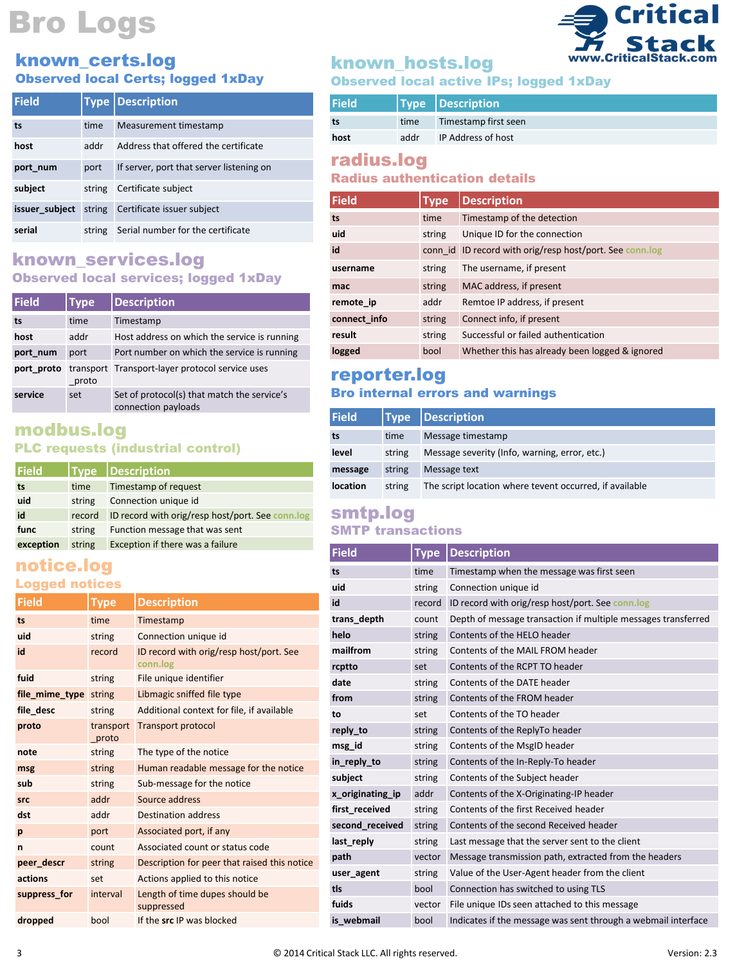#### known\_certs.log Observed local Certs; logged 1xDay

| <b>Field</b>   |        | <b>Type Description</b>                  |
|----------------|--------|------------------------------------------|
| ts             | time   | Measurement timestamp                    |
| host           | addr   | Address that offered the certificate     |
| port num       | port   | If server, port that server listening on |
| subject        | string | Certificate subject                      |
| issuer subject | string | Certificate issuer subject               |
| serial         | string | Serial number for the certificate        |

### known\_services.log Observed local services; logged 1xDay

| <b>Field</b> | <b>Type</b> | <b>Description</b>                                                 |
|--------------|-------------|--------------------------------------------------------------------|
| ts           | time        | Timestamp                                                          |
| host         | addr        | Host address on which the service is running                       |
| port num     | port        | Port number on which the service is running                        |
| port proto   | proto       | transport Transport-layer protocol service uses                    |
| service      | set         | Set of protocol(s) that match the service's<br>connection payloads |

### modbus.log PLC requests (industrial control)

| <b>Field</b> |        | <b>Type Description</b>                          |
|--------------|--------|--------------------------------------------------|
| ts           | time   | Timestamp of request                             |
| uid          | string | Connection unique id                             |
| id           | record | ID record with orig/resp host/port. See conn.log |
| func         | string | Function message that was sent                   |
| exception    | string | Exception if there was a failure                 |

#### notice.log Logged notices

| <b>Field</b>   | Type               | <b>Description</b>                                  |
|----------------|--------------------|-----------------------------------------------------|
| ts             | time               | Timestamp                                           |
| uid            | string             | Connection unique id                                |
| id             | record             | ID record with orig/resp host/port. See<br>conn.log |
| fuid           | string             | File unique identifier                              |
| file_mime_type | string             | Libmagic sniffed file type                          |
| file desc      | string             | Additional context for file, if available           |
| proto          | transport<br>proto | <b>Transport protocol</b>                           |
| note           | string             | The type of the notice                              |
| msg            | string             | Human readable message for the notice               |
| sub            | string             | Sub-message for the notice                          |
| <b>Src</b>     | addr               | Source address                                      |
| dst            | addr               | <b>Destination address</b>                          |
| p              | port               | Associated port, if any                             |
| n              | count              | Associated count or status code                     |
| peer descr     | string             | Description for peer that raised this notice        |
| actions        | set                | Actions applied to this notice                      |
| suppress for   | interval           | Length of time dupes should be<br>suppressed        |
| dropped        | bool               | If the src IP was blocked                           |

# known\_hosts.log

# Observed local active IPs; logged 1xDay

| <b>Field</b> |      | Type Description     |
|--------------|------|----------------------|
| ts           | time | Timestamp first seen |
| host         | addr | IP Address of host   |

www.CriticalStack.com

**Critical** 

# radius.log

### Radius authentication details

| Field        | Type   | <b>Description</b>                                       |
|--------------|--------|----------------------------------------------------------|
| ts           | time   | Timestamp of the detection                               |
| uid          | string | Unique ID for the connection                             |
| id           |        | conn id ID record with orig/resp host/port. See conn.log |
| username     | string | The username, if present                                 |
| mac          | string | MAC address, if present                                  |
| remote ip    | addr   | Remtoe IP address, if present                            |
| connect info | string | Connect info, if present                                 |
| result       | string | Successful or failed authentication                      |
| logged       | bool   | Whether this has already been logged & ignored           |

## reporter.log Bro internal errors and warnings

| <b>Field</b> |        | Type Description                                        |
|--------------|--------|---------------------------------------------------------|
| ts           | time   | Message timestamp                                       |
| level        | string | Message severity (Info, warning, error, etc.)           |
| message      | string | Message text                                            |
| location     | string | The script location where tevent occurred, if available |

# smtp.log

## SMTP transactions

| <b>Field</b>     | <b>Type</b> | <b>Description</b>                                            |
|------------------|-------------|---------------------------------------------------------------|
| ts               | time        | Timestamp when the message was first seen                     |
| uid              | string      | Connection unique id                                          |
| id               | record      | ID record with orig/resp host/port. See conn.log              |
| trans depth      | count       | Depth of message transaction if multiple messages transferred |
| helo             | string      | Contents of the HELO header                                   |
| mailfrom         | string      | Contents of the MAIL FROM header                              |
| rcptto           | set         | Contents of the RCPT TO header                                |
| date             | string      | Contents of the DATE header                                   |
| from             | string      | Contents of the FROM header                                   |
| to               | set         | Contents of the TO header                                     |
| reply to         | string      | Contents of the ReplyTo header                                |
| msg id           | string      | Contents of the MsgID header                                  |
| in reply to      | string      | Contents of the In-Reply-To header                            |
| subject          | string      | Contents of the Subject header                                |
| x originating ip | addr        | Contents of the X-Originating-IP header                       |
| first received   | string      | Contents of the first Received header                         |
| second received  | string      | Contents of the second Received header                        |
| last reply       | string      | Last message that the server sent to the client               |
| path             | vector      | Message transmission path, extracted from the headers         |
| user agent       | string      | Value of the User-Agent header from the client                |
| tls              | bool        | Connection has switched to using TLS                          |
| fuids            | vector      | File unique IDs seen attached to this message                 |
| is webmail       | bool        | Indicates if the message was sent through a webmail interface |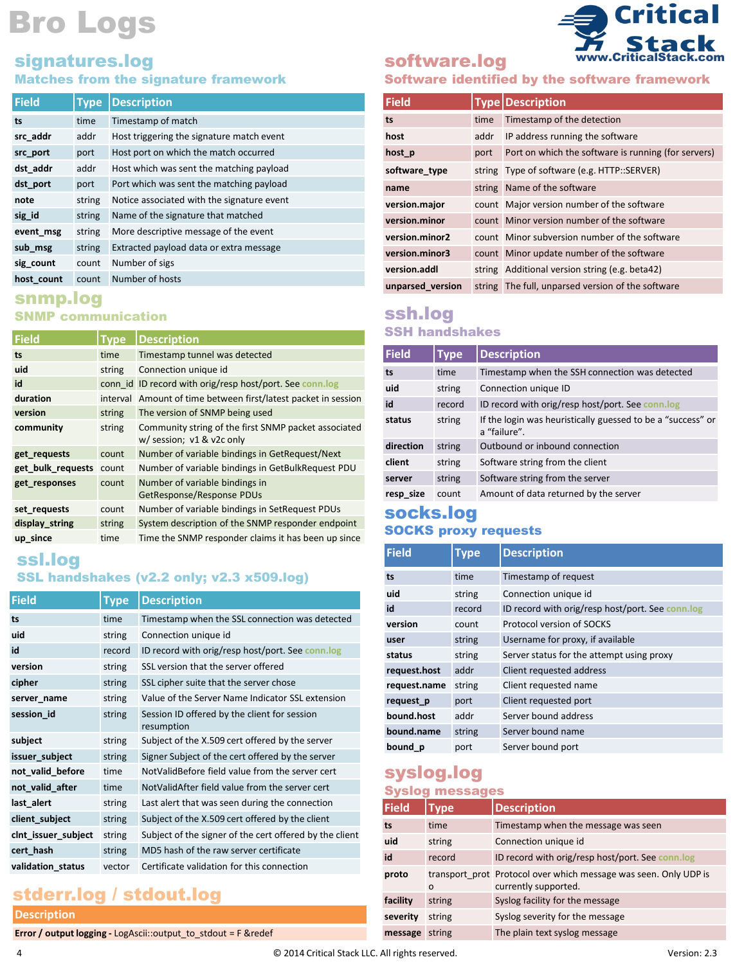# signatures.log

#### Matches from the signature framework

| <b>Field</b> | <b>Type</b> | <b>Description</b>                         |
|--------------|-------------|--------------------------------------------|
| ts           | time        | Timestamp of match                         |
| src addr     | addr        | Host triggering the signature match event  |
| src port     | port        | Host port on which the match occurred      |
| dst addr     | addr        | Host which was sent the matching payload   |
| dst port     | port        | Port which was sent the matching payload   |
| note         | string      | Notice associated with the signature event |
| sig id       | string      | Name of the signature that matched         |
| event msg    | string      | More descriptive message of the event      |
| sub msg      | string      | Extracted payload data or extra message    |
| sig count    | count       | Number of sigs                             |
| host count   | count       | Number of hosts                            |

### snmp.log SNMP communication

| Field             | <b>Type</b> | <b>Description</b>                                                                |
|-------------------|-------------|-----------------------------------------------------------------------------------|
| ts                | time        | Timestamp tunnel was detected                                                     |
| uid               | string      | Connection unique id                                                              |
| id                | conn id     | ID record with orig/resp host/port. See conn.log                                  |
| duration          | interval    | Amount of time between first/latest packet in session                             |
| version           | string      | The version of SNMP being used                                                    |
| community         | string      | Community string of the first SNMP packet associated<br>w/ session; v1 & v2c only |
| get requests      | count       | Number of variable bindings in GetRequest/Next                                    |
| get bulk requests | count       | Number of variable bindings in GetBulkRequest PDU                                 |
| get responses     | count       | Number of variable bindings in<br>GetResponse/Response PDUs                       |
| set requests      | count       | Number of variable bindings in SetRequest PDUs                                    |
| display string    | string      | System description of the SNMP responder endpoint                                 |
| up since          | time        | Time the SNMP responder claims it has been up since                               |

ssl.log

## SSL handshakes (v2.2 only; v2.3 x509.log)

| Type   | <b>Description</b>                                         |
|--------|------------------------------------------------------------|
| time   | Timestamp when the SSL connection was detected             |
| string | Connection unique id                                       |
| record | ID record with orig/resp host/port. See conn.log           |
| string | SSL version that the server offered                        |
| string | SSL cipher suite that the server chose                     |
| string | Value of the Server Name Indicator SSL extension           |
| string | Session ID offered by the client for session<br>resumption |
| string | Subject of the X.509 cert offered by the server            |
| string | Signer Subject of the cert offered by the server           |
| time   | NotValidBefore field value from the server cert            |
| time   | NotValidAfter field value from the server cert             |
| string | Last alert that was seen during the connection             |
| string | Subject of the X.509 cert offered by the client            |
| string | Subject of the signer of the cert offered by the client    |
| string | MD5 hash of the raw server certificate                     |
| vector | Certificate validation for this connection                 |
|        |                                                            |

# stderr.log / stdout.log

#### **Description**

**Error / output logging -** LogAscii::output\_to\_stdout = F &redef

# software.log



Software identified by the software framework

| <b>Field</b>     |      | <b>Type Description</b>                             |
|------------------|------|-----------------------------------------------------|
| ts               | time | Timestamp of the detection                          |
| host             | addr | IP address running the software                     |
| host p           | port | Port on which the software is running (for servers) |
| software type    |      | string Type of software (e.g. HTTP::SERVER)         |
| name             |      | string Name of the software                         |
| version.major    |      | count Major version number of the software          |
| version.minor    |      | count Minor version number of the software          |
| version.minor2   |      | count Minor subversion number of the software       |
| version.minor3   |      | count Minor update number of the software           |
| version.addl     |      | string Additional version string (e.g. beta42)      |
| unparsed version |      | string The full, unparsed version of the software   |

### ssh.log SSH handshakes

| Field     | Type   | <b>Description</b>                                                          |
|-----------|--------|-----------------------------------------------------------------------------|
| ts        | time   | Timestamp when the SSH connection was detected                              |
| uid       | string | Connection unique ID                                                        |
| id        | record | ID record with orig/resp host/port. See conn.log                            |
| status    | string | If the login was heuristically guessed to be a "success" or<br>a "failure". |
| direction | string | Outbound or inbound connection                                              |
| client    | string | Software string from the client                                             |
| server    | string | Software string from the server                                             |
| resp size | count  | Amount of data returned by the server                                       |

#### socks.log SOCKS proxy requests

| <b>Field</b> | Type   | <b>Description</b>                               |
|--------------|--------|--------------------------------------------------|
| ts           | time   | Timestamp of request                             |
| uid          | string | Connection unique id                             |
| id           | record | ID record with orig/resp host/port. See conn.log |
| version      | count  | Protocol version of SOCKS                        |
| user         | string | Username for proxy, if available                 |
| status       | string | Server status for the attempt using proxy        |
| request.host | addr   | Client requested address                         |
| request.name | string | Client requested name                            |
| request p    | port   | Client requested port                            |
| bound.host   | addr   | Server bound address                             |
| bound.name   | string | Server bound name                                |
| bound p      | port   | Server bound port                                |

# syslog.log

#### Syslog messages

| <b>Field</b> | Type     | <b>Description</b>                                                                       |
|--------------|----------|------------------------------------------------------------------------------------------|
| ts           | time     | Timestamp when the message was seen                                                      |
| uid          | string   | Connection unique id                                                                     |
| id           | record   | ID record with orig/resp host/port. See conn.log                                         |
| proto        | $\Omega$ | transport prot Protocol over which message was seen. Only UDP is<br>currently supported. |
| facility     | string   | Syslog facility for the message                                                          |
| severity     | string   | Syslog severity for the message                                                          |
| message      | string   | The plain text syslog message                                                            |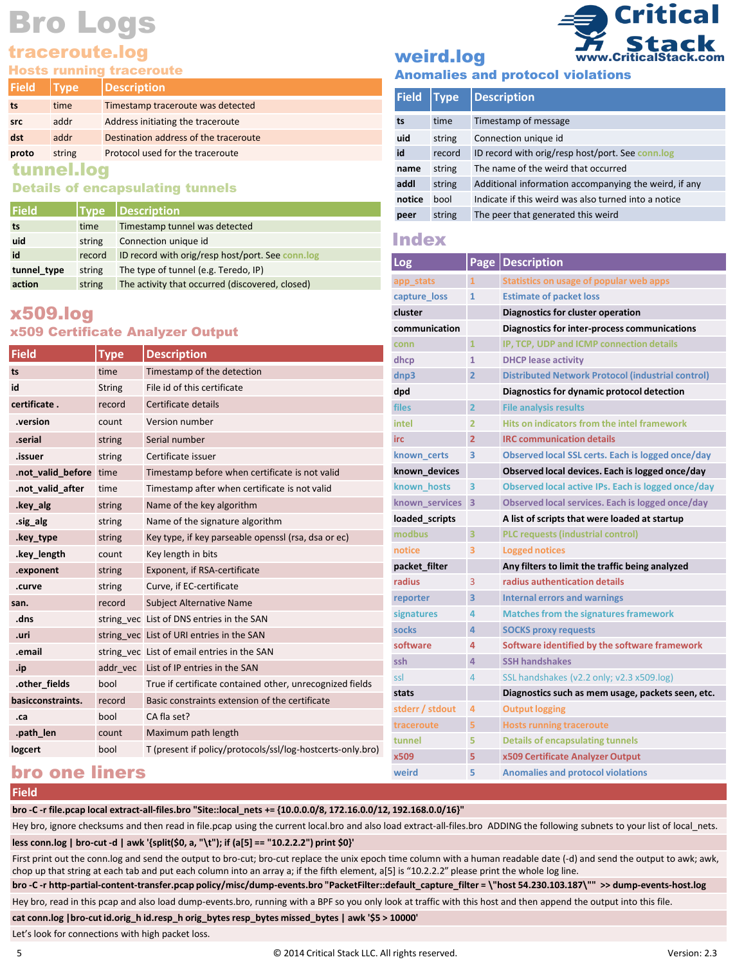## traceroute.log

Hosts running traceroute

| <b>Field</b> | Type <sup>'</sup> | <b>Description</b>                    |  |
|--------------|-------------------|---------------------------------------|--|
| ts           | time              | Timestamp traceroute was detected     |  |
| <b>src</b>   | addr              | Address initiating the traceroute     |  |
| dst          | addr              | Destination address of the traceroute |  |
| proto        | string            | Protocol used for the traceroute      |  |
|              |                   |                                       |  |

#### tunnel.log

#### Details of encapsulating tunnels

| l Field     |        | Type Description                                 |
|-------------|--------|--------------------------------------------------|
| ts          | time   | Timestamp tunnel was detected                    |
| uid         | string | Connection unique id                             |
| id          | record | ID record with orig/resp host/port. See conn.log |
| tunnel type | string | The type of tunnel (e.g. Teredo, IP)             |
| action      | string | The activity that occurred (discovered, closed)  |

# x509.log

#### x509 Certificate Analyzer Output

|                        |               |                                                            | conn             | 1              |
|------------------------|---------------|------------------------------------------------------------|------------------|----------------|
| <b>Field</b>           | <b>Type</b>   | <b>Description</b>                                         | dhcp             | 1              |
| ts                     | time          | Timestamp of the detection                                 | dnp3             | 2              |
| id                     | <b>String</b> | File id of this certificate                                | dpd              |                |
| certificate.           | record        | Certificate details                                        | files            | 2              |
| .version               | count         | Version number                                             | intel            | 2              |
| .serial                | string        | Serial number                                              | irc              | $\overline{a}$ |
| .issuer                | string        | Certificate issuer                                         | known certs      | B              |
| .not valid before time |               | Timestamp before when certificate is not valid             | known devices    |                |
| .not valid after       | time          | Timestamp after when certificate is not valid              | known hosts      |                |
| .key alg               | string        | Name of the key algorithm                                  | known services 3 |                |
| .sig alg               | string        | Name of the signature algorithm                            | loaded scripts   |                |
| .key type              | string        | Key type, if key parseable openssl (rsa, dsa or ec)        | modbus           | 3              |
| .key length            | count         | Key length in bits                                         | notice           |                |
| .exponent              | string        | Exponent, if RSA-certificate                               | packet filter    |                |
| .curve                 | string        | Curve, if EC-certificate                                   | radius           | 3              |
| san.                   | record        | <b>Subject Alternative Name</b>                            | reporter         | 3              |
| .dns                   |               | string yec List of DNS entries in the SAN                  | signatures       | 4              |
| .uri                   |               | string vec List of URI entries in the SAN                  | socks            | 4              |
| .email                 |               | string vec List of email entries in the SAN                | software         | 4              |
| .ip                    | addr vec      | List of IP entries in the SAN                              | ssh              |                |
| .other fields          | bool          | True if certificate contained other, unrecognized fields   | ssl              | 4              |
| basicconstraints.      | record        | Basic constraints extension of the certificate             | stats            |                |
| .ca                    | bool          | CA fla set?                                                | stderr / stdout  |                |
| .path len              | count         | Maximum path length                                        | traceroute       |                |
| logcert                | bool          | T (present if policy/protocols/ssl/log-hostcerts-only.bro) | tunnel           |                |
|                        |               |                                                            | x509             | 5              |

# **Critical** Stack www.CriticalStack.com

# weird.log

|  |  |  | <b>Anomalies and protocol violations</b> |
|--|--|--|------------------------------------------|
|--|--|--|------------------------------------------|

| Field  | <b>Type</b> | <b>Description</b>                                    |
|--------|-------------|-------------------------------------------------------|
| ts     | time        | Timestamp of message                                  |
| uid    | string      | Connection unique id                                  |
| id     | record      | ID record with orig/resp host/port. See conn.log      |
| name   | string      | The name of the weird that occurred                   |
| addl   | string      | Additional information accompanying the weird, if any |
| notice | bool        | Indicate if this weird was also turned into a notice  |
| peer   | string      | The peer that generated this weird                    |

#### Index

| <b>Log</b>      |                | Page   Description                                       |
|-----------------|----------------|----------------------------------------------------------|
| app_stats       | $\mathbf{1}$   | Statistics on usage of popular web apps                  |
| capture loss    | $\mathbf{1}$   | <b>Estimate of packet loss</b>                           |
| cluster         |                | Diagnostics for cluster operation                        |
| communication   |                | Diagnostics for inter-process communications             |
| conn            | $\mathbf{1}$   | IP, TCP, UDP and ICMP connection details                 |
| dhcp            | $\mathbf{1}$   | <b>DHCP lease activity</b>                               |
| dnp3            | $\overline{2}$ | <b>Distributed Network Protocol (industrial control)</b> |
| dpd             |                | Diagnostics for dynamic protocol detection               |
| files           | $\overline{2}$ | <b>File analysis results</b>                             |
| intel           | 2              | Hits on indicators from the intel framework              |
| irc             | $\overline{2}$ | <b>IRC communication details</b>                         |
| known certs     | 3              | Observed local SSL certs. Each is logged once/day        |
| known devices   |                | Observed local devices. Each is logged once/day          |
| known hosts     | 3              | Observed local active IPs. Each is logged once/day       |
| known services  | 3              | Observed local services. Each is logged once/day         |
| loaded scripts  |                | A list of scripts that were loaded at startup            |
| modbus          | 3              | <b>PLC requests (industrial control)</b>                 |
| notice          | з              | <b>Logged notices</b>                                    |
| packet filter   |                | Any filters to limit the traffic being analyzed          |
| radius          | 3              | radius authentication details                            |
| reporter        | 3              | Internal errors and warnings                             |
| signatures      | 4              | <b>Matches from the signatures framework</b>             |
| socks           | 4              | <b>SOCKS proxy requests</b>                              |
| software        | 4              | Software identified by the software framework            |
| ssh             | 4              | <b>SSH handshakes</b>                                    |
| ssl             | 4              | SSL handshakes (v2.2 only; v2.3 x509.log)                |
| stats           |                | Diagnostics such as mem usage, packets seen, etc.        |
| stderr / stdout | 4              | <b>Output logging</b>                                    |
| traceroute      | 5              | <b>Hosts running traceroute</b>                          |
| tunnel          | 5              | <b>Details of encapsulating tunnels</b>                  |
| x509            | 5              | x509 Certificate Analyzer Output                         |
| weird           | 5              | <b>Anomalies and protocol violations</b>                 |

# bro one liners

#### **Field**

**bro -C -r file.pcap local extract-all-files.bro "Site::local\_nets += {10.0.0.0/8, 172.16.0.0/12, 192.168.0.0/16}"**

Hey bro, ignore checksums and then read in file.pcap using the current local.bro and also load extract-all-files.bro ADDING the following subnets to your list of local\_nets. **less conn.log | bro-cut -d | awk '{split(\$0, a, "\t"); if (a[5] == "10.2.2.2") print \$0}'**

First print out the conn.log and send the output to bro-cut; bro-cut replace the unix epoch time column with a human readable date (-d) and send the output to awk; awk, chop up that string at each tab and put each column into an array a; if the fifth element, a[5] is "10.2.2.2" please print the whole log line.

**bro -C -r http-partial-content-transfer.pcap policy/misc/dump-events.bro "PacketFilter::default\_capture\_filter = \"host 54.230.103.187\"" >> dump-events-host.log**

Hey bro, read in this pcap and also load dump-events.bro, running with a BPF so you only look at traffic with this host and then append the output into this file.

**cat conn.log |bro-cut id.orig\_h id.resp\_h orig\_bytesresp\_bytes missed\_bytes | awk '\$5 > 10000'**

Let's look for connections with high packet loss.